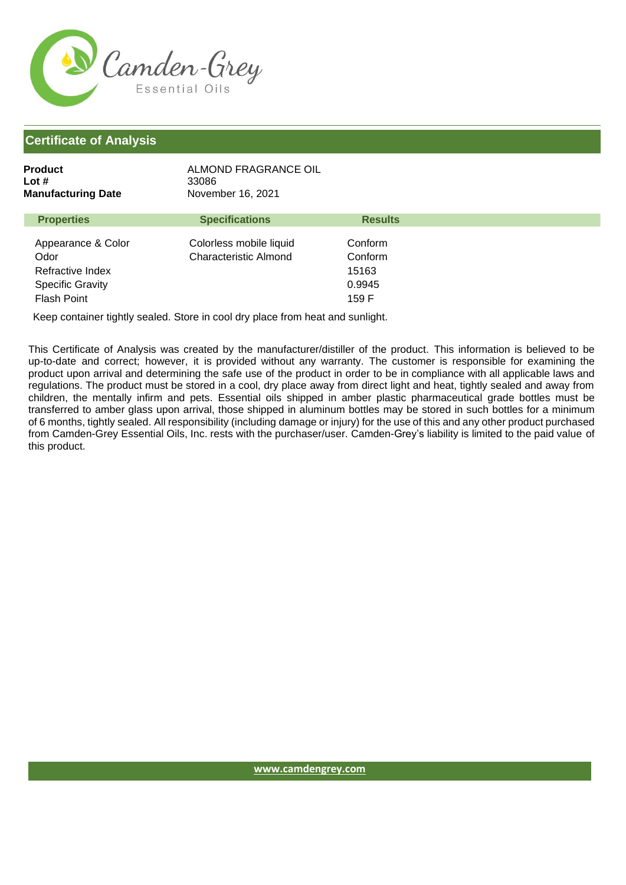

| <b>Product</b><br>Lot #<br><b>Manufacturing Date</b>                      | ALMOND FRAGRANCE OIL<br>33086<br>November 16, 2021      |                                       |
|---------------------------------------------------------------------------|---------------------------------------------------------|---------------------------------------|
| <b>Properties</b>                                                         | <b>Specifications</b>                                   | <b>Results</b>                        |
| Appearance & Color<br>Odor<br>Refractive Index<br><b>Specific Gravity</b> | Colorless mobile liquid<br><b>Characteristic Almond</b> | Conform<br>Conform<br>15163<br>0.9945 |

Flash Point

Keep container tightly sealed. Store in cool dry place from heat and sunlight.

This Certificate of Analysis was created by the manufacturer/distiller of the product. This information is believed to be up-to-date and correct; however, it is provided without any warranty. The customer is responsible for examining the product upon arrival and determining the safe use of the product in order to be in compliance with all applicable laws and regulations. The product must be stored in a cool, dry place away from direct light and heat, tightly sealed and away from children, the mentally infirm and pets. Essential oils shipped in amber plastic pharmaceutical grade bottles must be transferred to amber glass upon arrival, those shipped in aluminum bottles may be stored in such bottles for a minimum of 6 months, tightly sealed. All responsibility (including damage or injury) for the use of this and any other product purchased from Camden-Grey Essential Oils, Inc. rests with the purchaser/user. Camden-Grey's liability is limited to the paid value of this product.

159 F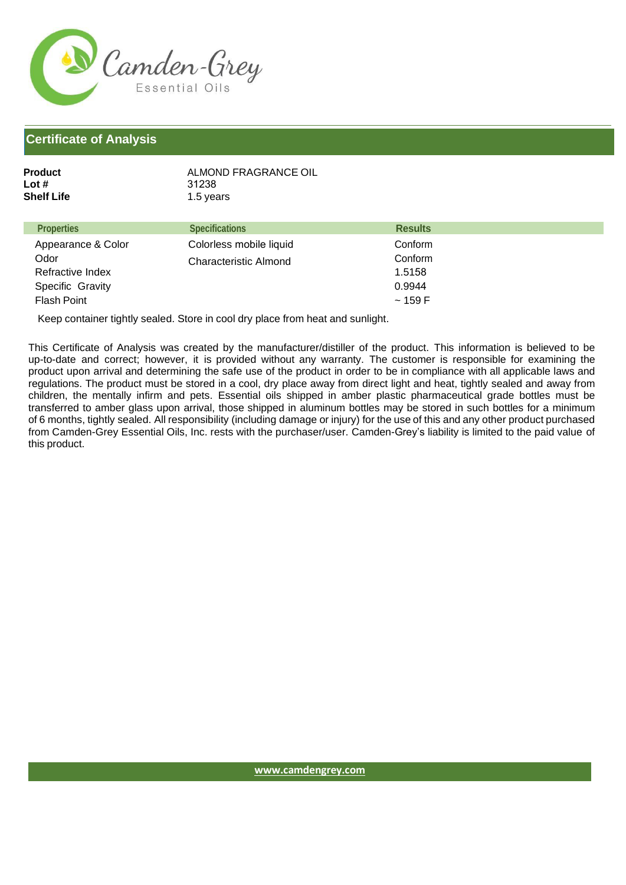

| Product    | ALMOND FRAGRANCE OIL |
|------------|----------------------|
| Lot #      | 31238                |
| Shelf Life | 1.5 years            |
|            |                      |

| <b>Properties</b>  | <b>Specifications</b>        | <b>Results</b> |
|--------------------|------------------------------|----------------|
| Appearance & Color | Colorless mobile liquid      | Conform        |
| Odor               | <b>Characteristic Almond</b> | Conform        |
| Refractive Index   |                              | 1.5158         |
| Specific Gravity   |                              | 0.9944         |
| <b>Flash Point</b> |                              | ~159 F         |

Keep container tightly sealed. Store in cool dry place from heat and sunlight.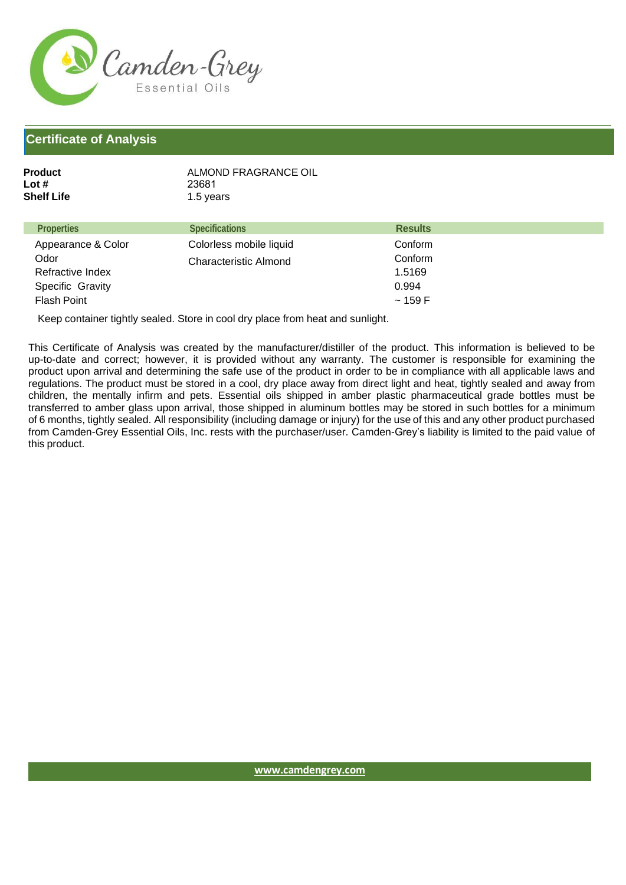

| Product    | ALMOND FRAGRANCE OIL |
|------------|----------------------|
| Lot #      | 23681                |
| Shelf Life | 1.5 years            |
|            |                      |

| <b>Properties</b>  | <b>Specifications</b>        | <b>Results</b> |
|--------------------|------------------------------|----------------|
| Appearance & Color | Colorless mobile liquid      | Conform        |
| Odor               | <b>Characteristic Almond</b> | Conform        |
| Refractive Index   |                              | 1.5169         |
| Specific Gravity   |                              | 0.994          |
| Flash Point        |                              | ~159 F         |

Keep container tightly sealed. Store in cool dry place from heat and sunlight.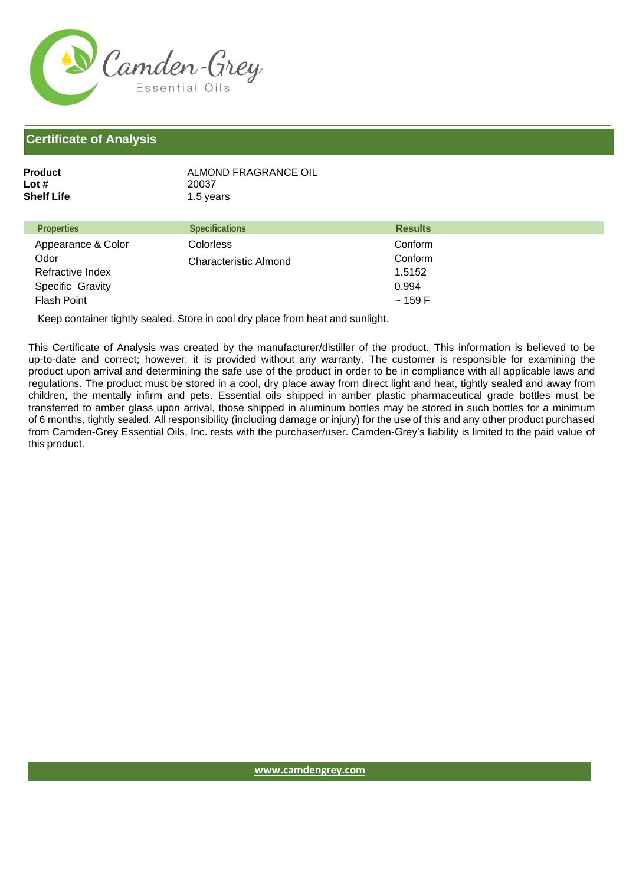

| Product    | ALMOND FRAGRANCE OIL |
|------------|----------------------|
| Lot #      | 20037                |
| Shelf Life | 1.5 years            |
|            |                      |

| <b>Properties</b>  | <b>Specifications</b> | <b>Results</b> |
|--------------------|-----------------------|----------------|
| Appearance & Color | <b>Colorless</b>      | Conform        |
| Odor               | Characteristic Almond | Conform        |
| Refractive Index   |                       | 1.5152         |
| Specific Gravity   |                       | 0.994          |
| Flash Point        |                       | ~159 F         |

Keep container tightly sealed. Store in cool dry place from heat and sunlight.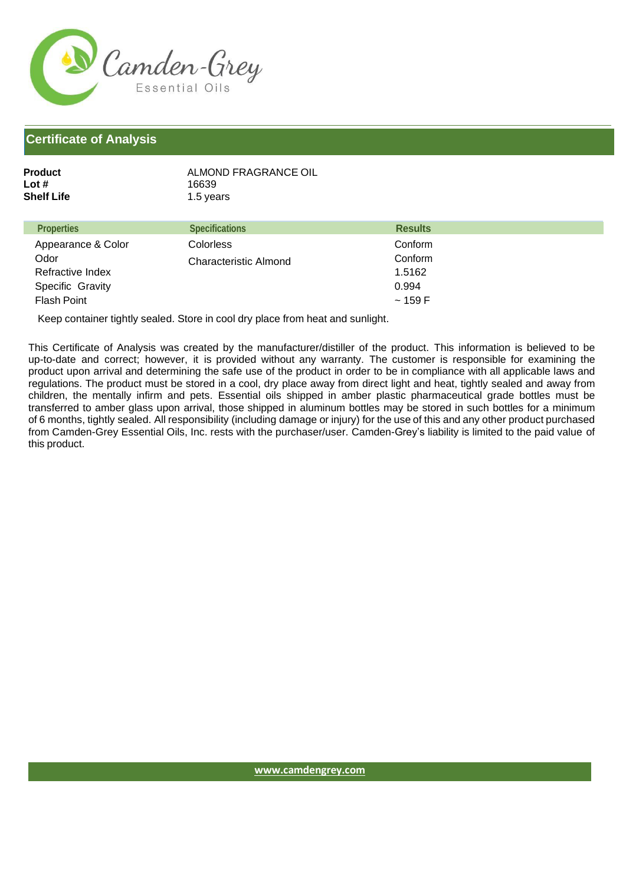

| ALMOND FRAGRANCE OIL |
|----------------------|
| 16639                |
| 1.5 years            |
|                      |

| <b>Properties</b>  | <b>Specifications</b> | <b>Results</b> |
|--------------------|-----------------------|----------------|
| Appearance & Color | <b>Colorless</b>      | Conform        |
| Odor               | Characteristic Almond | Conform        |
| Refractive Index   |                       | 1.5162         |
| Specific Gravity   |                       | 0.994          |
| <b>Flash Point</b> |                       | ~159 F         |

Keep container tightly sealed. Store in cool dry place from heat and sunlight.